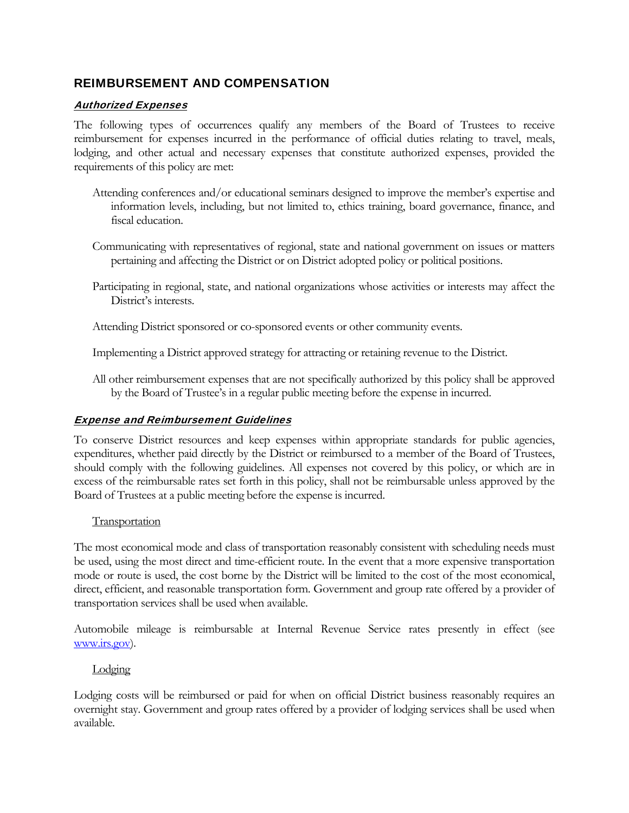# REIMBURSEMENT AND COMPENSATION

## Authorized Expenses

The following types of occurrences qualify any members of the Board of Trustees to receive reimbursement for expenses incurred in the performance of official duties relating to travel, meals, lodging, and other actual and necessary expenses that constitute authorized expenses, provided the requirements of this policy are met:

- Attending conferences and/or educational seminars designed to improve the member's expertise and information levels, including, but not limited to, ethics training, board governance, finance, and fiscal education.
- Communicating with representatives of regional, state and national government on issues or matters pertaining and affecting the District or on District adopted policy or political positions.
- Participating in regional, state, and national organizations whose activities or interests may affect the District's interests.

Attending District sponsored or co-sponsored events or other community events.

Implementing a District approved strategy for attracting or retaining revenue to the District.

All other reimbursement expenses that are not specifically authorized by this policy shall be approved by the Board of Trustee's in a regular public meeting before the expense in incurred.

## **Expense and Reimbursement Guidelines**

To conserve District resources and keep expenses within appropriate standards for public agencies, expenditures, whether paid directly by the District or reimbursed to a member of the Board of Trustees, should comply with the following guidelines. All expenses not covered by this policy, or which are in excess of the reimbursable rates set forth in this policy, shall not be reimbursable unless approved by the Board of Trustees at a public meeting before the expense is incurred.

## **Transportation**

The most economical mode and class of transportation reasonably consistent with scheduling needs must be used, using the most direct and time-efficient route. In the event that a more expensive transportation mode or route is used, the cost borne by the District will be limited to the cost of the most economical, direct, efficient, and reasonable transportation form. Government and group rate offered by a provider of transportation services shall be used when available.

Automobile mileage is reimbursable at Internal Revenue Service rates presently in effect (see www.irs.gov).

**Lodging** 

Lodging costs will be reimbursed or paid for when on official District business reasonably requires an overnight stay. Government and group rates offered by a provider of lodging services shall be used when available.